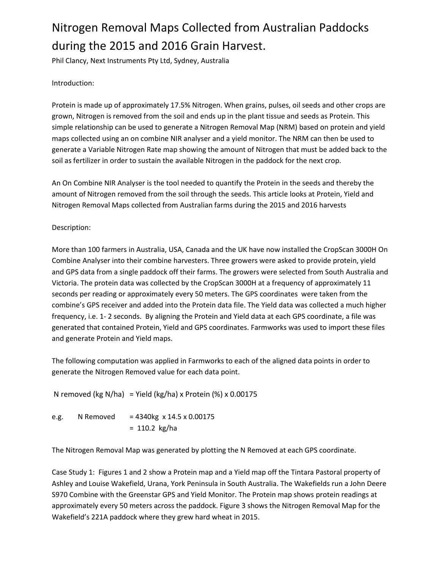# Nitrogen Removal Maps Collected from Australian Paddocks during the 2015 and 2016 Grain Harvest.

Phil Clancy, Next Instruments Pty Ltd, Sydney, Australia

## Introduction:

Protein is made up of approximately 17.5% Nitrogen. When grains, pulses, oil seeds and other crops are grown, Nitrogen is removed from the soil and ends up in the plant tissue and seeds as Protein. This simple relationship can be used to generate a Nitrogen Removal Map (NRM) based on protein and yield maps collected using an on combine NIR analyser and a yield monitor. The NRM can then be used to generate a Variable Nitrogen Rate map showing the amount of Nitrogen that must be added back to the soil as fertilizer in order to sustain the available Nitrogen in the paddock for the next crop.

An On Combine NIR Analyser is the tool needed to quantify the Protein in the seeds and thereby the amount of Nitrogen removed from the soil through the seeds. This article looks at Protein, Yield and Nitrogen Removal Maps collected from Australian farms during the 2015 and 2016 harvests

## Description:

More than 100 farmers in Australia, USA, Canada and the UK have now installed the CropScan 3000H On Combine Analyser into their combine harvesters. Three growers were asked to provide protein, yield and GPS data from a single paddock off their farms. The growers were selected from South Australia and Victoria. The protein data was collected by the CropScan 3000H at a frequency of approximately 11 seconds per reading or approximately every 50 meters. The GPS coordinates were taken from the combine's GPS receiver and added into the Protein data file. The Yield data was collected a much higher frequency, i.e. 1- 2 seconds. By aligning the Protein and Yield data at each GPS coordinate, a file was generated that contained Protein, Yield and GPS coordinates. Farmworks was used to import these files and generate Protein and Yield maps.

The following computation was applied in Farmworks to each of the aligned data points in order to generate the Nitrogen Removed value for each data point.

N removed (kg N/ha) = Yield (kg/ha) x Protein (%) x 0.00175

e.g. N Removed =  $4340kg \times 14.5 \times 0.00175$ = 110.2 kg/ha

The Nitrogen Removal Map was generated by plotting the N Removed at each GPS coordinate.

Case Study 1: Figures 1 and 2 show a Protein map and a Yield map off the Tintara Pastoral property of Ashley and Louise Wakefield, Urana, York Peninsula in South Australia. The Wakefields run a John Deere S970 Combine with the Greenstar GPS and Yield Monitor. The Protein map shows protein readings at approximately every 50 meters across the paddock. Figure 3 shows the Nitrogen Removal Map for the Wakefield's 221A paddock where they grew hard wheat in 2015.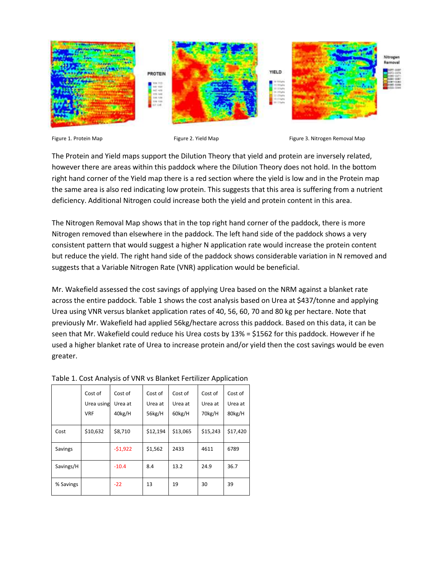





The Protein and Yield maps support the Dilution Theory that yield and protein are inversely related, however there are areas within this paddock where the Dilution Theory does not hold. In the bottom right hand corner of the Yield map there is a red section where the yield is low and in the Protein map the same area is also red indicating low protein. This suggests that this area is suffering from a nutrient deficiency. Additional Nitrogen could increase both the yield and protein content in this area.

The Nitrogen Removal Map shows that in the top right hand corner of the paddock, there is more Nitrogen removed than elsewhere in the paddock. The left hand side of the paddock shows a very consistent pattern that would suggest a higher N application rate would increase the protein content but reduce the yield. The right hand side of the paddock shows considerable variation in N removed and suggests that a Variable Nitrogen Rate (VNR) application would be beneficial.

Mr. Wakefield assessed the cost savings of applying Urea based on the NRM against a blanket rate across the entire paddock. Table 1 shows the cost analysis based on Urea at \$437/tonne and applying Urea using VNR versus blanket application rates of 40, 56, 60, 70 and 80 kg per hectare. Note that previously Mr. Wakefield had applied 56kg/hectare across this paddock. Based on this data, it can be seen that Mr. Wakefield could reduce his Urea costs by 13% = \$1562 for this paddock. However if he used a higher blanket rate of Urea to increase protein and/or yield then the cost savings would be even greater.

|           | Cost of<br>Urea using<br><b>VRF</b> | Cost of<br>Urea at<br>40kg/H | Cost of<br>Urea at<br>56kg/H | Cost of<br>Urea at<br>60kg/H | Cost of<br>Urea at<br>70kg/H | Cost of<br>Urea at<br>80kg/H |
|-----------|-------------------------------------|------------------------------|------------------------------|------------------------------|------------------------------|------------------------------|
| Cost      | \$10,632                            | \$8,710                      | \$12,194                     | \$13,065                     | \$15,243                     | \$17,420                     |
| Savings   |                                     | $-51,922$                    | \$1,562                      | 2433                         | 4611                         | 6789                         |
| Savings/H |                                     | $-10.4$                      | 8.4                          | 13.2                         | 24.9                         | 36.7                         |
| % Savings |                                     | $-22$                        | 13                           | 19                           | 30                           | 39                           |

|  |  |  | Table 1. Cost Analysis of VNR vs Blanket Fertilizer Application |
|--|--|--|-----------------------------------------------------------------|
|  |  |  |                                                                 |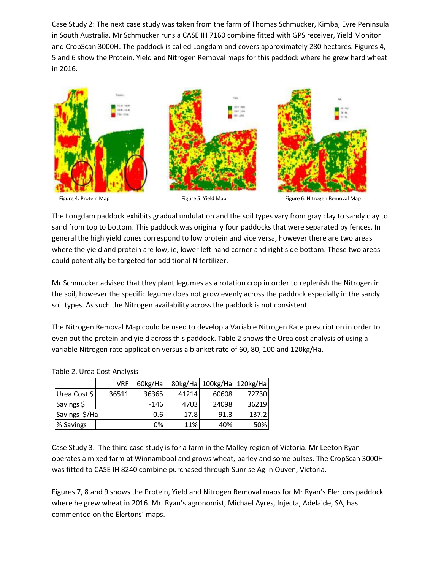Case Study 2: The next case study was taken from the farm of Thomas Schmucker, Kimba, Eyre Peninsula in South Australia. Mr Schmucker runs a CASE IH 7160 combine fitted with GPS receiver, Yield Monitor and CropScan 3000H. The paddock is called Longdam and covers approximately 280 hectares. Figures 4, 5 and 6 show the Protein, Yield and Nitrogen Removal maps for this paddock where he grew hard wheat in 2016.



The Longdam paddock exhibits gradual undulation and the soil types vary from gray clay to sandy clay to sand from top to bottom. This paddock was originally four paddocks that were separated by fences. In general the high yield zones correspond to low protein and vice versa, however there are two areas where the yield and protein are low, ie, lower left hand corner and right side bottom. These two areas could potentially be targeted for additional N fertilizer.

Mr Schmucker advised that they plant legumes as a rotation crop in order to replenish the Nitrogen in the soil, however the specific legume does not grow evenly across the paddock especially in the sandy soil types. As such the Nitrogen availability across the paddock is not consistent.

The Nitrogen Removal Map could be used to develop a Variable Nitrogen Rate prescription in order to even out the protein and yield across this paddock. Table 2 shows the Urea cost analysis of using a variable Nitrogen rate application versus a blanket rate of 60, 80, 100 and 120kg/Ha.

|               | <b>VRF</b> | 60kg/Ha |       | 80kg/Ha 100kg/Ha 120kg/Ha |       |
|---------------|------------|---------|-------|---------------------------|-------|
| Urea Cost \$  | 36511      | 36365   | 41214 | 60608                     | 72730 |
| Savings \$    |            | $-146$  | 4703  | 24098                     | 36219 |
| Savings \$/Ha |            | $-0.6$  | 17.8  | 91.3                      | 137.2 |
| % Savings     |            | 0%      | 11%   | 40%                       | 50%   |

#### Table 2. Urea Cost Analysis

Case Study 3: The third case study is for a farm in the Malley region of Victoria. Mr Leeton Ryan operates a mixed farm at Winnambool and grows wheat, barley and some pulses. The CropScan 3000H was fitted to CASE IH 8240 combine purchased through Sunrise Ag in Ouyen, Victoria.

Figures 7, 8 and 9 shows the Protein, Yield and Nitrogen Removal maps for Mr Ryan's Elertons paddock where he grew wheat in 2016. Mr. Ryan's agronomist, Michael Ayres, Injecta, Adelaide, SA, has commented on the Elertons' maps.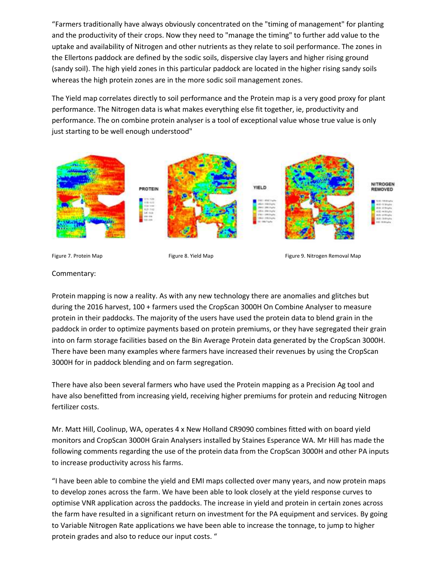"Farmers traditionally have always obviously concentrated on the "timing of management" for planting and the productivity of their crops. Now they need to "manage the timing" to further add value to the uptake and availability of Nitrogen and other nutrients as they relate to soil performance. The zones in the Ellertons paddock are defined by the sodic soils, dispersive clay layers and higher rising ground (sandy soil). The high yield zones in this particular paddock are located in the higher rising sandy soils whereas the high protein zones are in the more sodic soil management zones.

The Yield map correlates directly to soil performance and the Protein map is a very good proxy for plant performance. The Nitrogen data is what makes everything else fit together, ie, productivity and performance. The on combine protein analyser is a tool of exceptional value whose true value is only just starting to be well enough understood"





#### Commentary:

Protein mapping is now a reality. As with any new technology there are anomalies and glitches but during the 2016 harvest, 100 + farmers used the CropScan 3000H On Combine Analyser to measure protein in their paddocks. The majority of the users have used the protein data to blend grain in the paddock in order to optimize payments based on protein premiums, or they have segregated their grain into on farm storage facilities based on the Bin Average Protein data generated by the CropScan 3000H. There have been many examples where farmers have increased their revenues by using the CropScan 3000H for in paddock blending and on farm segregation.

There have also been several farmers who have used the Protein mapping as a Precision Ag tool and have also benefitted from increasing yield, receiving higher premiums for protein and reducing Nitrogen fertilizer costs.

Mr. Matt Hill, Coolinup, WA, operates 4 x New Holland CR9090 combines fitted with on board yield monitors and CropScan 3000H Grain Analysers installed by Staines Esperance WA. Mr Hill has made the following comments regarding the use of the protein data from the CropScan 3000H and other PA inputs to increase productivity across his farms.

"I have been able to combine the yield and EMI maps collected over many years, and now protein maps to develop zones across the farm. We have been able to look closely at the yield response curves to optimise VNR application across the paddocks. The increase in yield and protein in certain zones across the farm have resulted in a significant return on investment for the PA equipment and services. By going to Variable Nitrogen Rate applications we have been able to increase the tonnage, to jump to higher protein grades and also to reduce our input costs. "